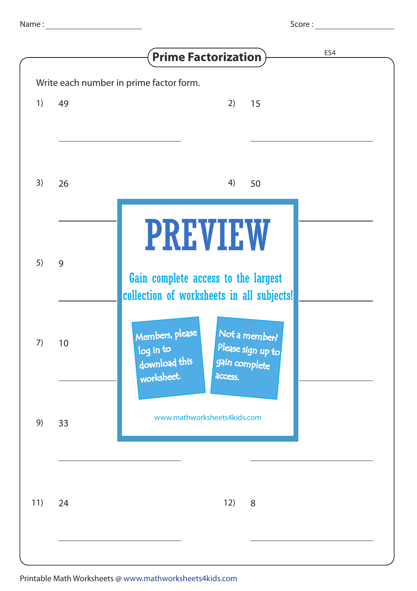|     |    | ES4<br><b>Prime Factorization</b>                                                                                             |
|-----|----|-------------------------------------------------------------------------------------------------------------------------------|
|     |    | Write each number in prime factor form.                                                                                       |
| 1)  | 49 | 2)<br>15                                                                                                                      |
| 3)  | 26 | 4)<br>50                                                                                                                      |
| 5)  | 9  | <b>PREVIEW</b><br>Gain complete access to the largest<br>collection of worksheets in all subjects!                            |
| 7)  | 10 | Members, please<br>Not a member?<br>Please sign up to<br>log in to<br>download this<br>gain complete<br>worksheet.<br>access. |
| 9)  | 33 | www.mathworksheets4kids.com                                                                                                   |
| 11) | 24 | 12)<br>8                                                                                                                      |